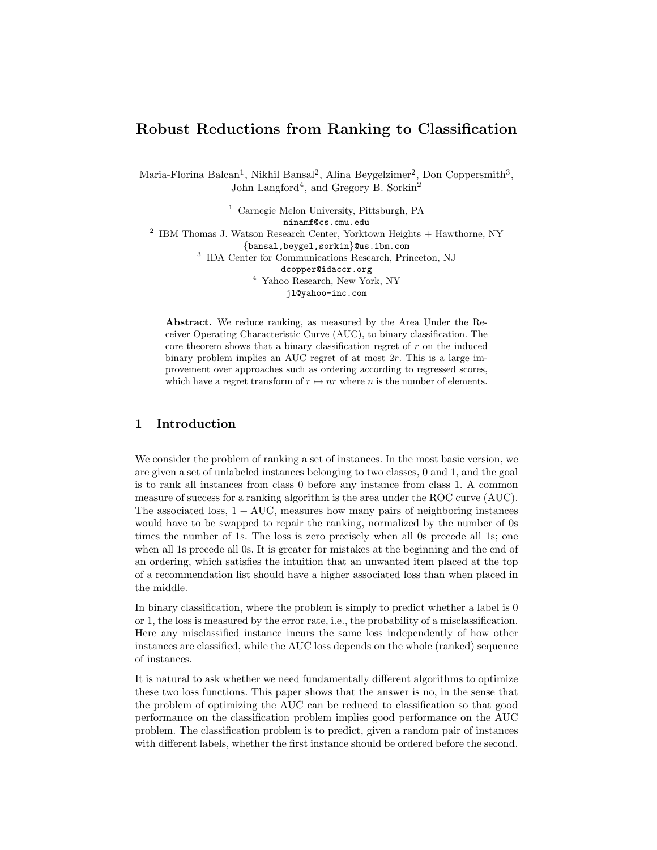# Robust Reductions from Ranking to Classification

Maria-Florina Balcan<sup>1</sup>, Nikhil Bansal<sup>2</sup>, Alina Beygelzimer<sup>2</sup>, Don Coppersmith<sup>3</sup>, John Langford<sup>4</sup>, and Gregory B. Sorkin<sup>2</sup>

<sup>1</sup> Carnegie Melon University, Pittsburgh, PA ninamf@cs.cmu.edu <sup>2</sup> IBM Thomas J. Watson Research Center, Yorktown Heights + Hawthorne, NY {bansal,beygel,sorkin}@us.ibm.com 3 IDA Center for Communications Research, Princeton, NJ dcopper@idaccr.org <sup>4</sup> Yahoo Research, New York, NY jl@yahoo-inc.com

Abstract. We reduce ranking, as measured by the Area Under the Receiver Operating Characteristic Curve (AUC), to binary classification. The core theorem shows that a binary classification regret of  $r$  on the induced binary problem implies an AUC regret of at most 2r. This is a large improvement over approaches such as ordering according to regressed scores, which have a regret transform of  $r \mapsto nr$  where n is the number of elements.

# 1 Introduction

We consider the problem of ranking a set of instances. In the most basic version, we are given a set of unlabeled instances belonging to two classes, 0 and 1, and the goal is to rank all instances from class 0 before any instance from class 1. A common measure of success for a ranking algorithm is the area under the ROC curve (AUC). The associated loss,  $1 - \text{AUC}$ , measures how many pairs of neighboring instances would have to be swapped to repair the ranking, normalized by the number of 0s times the number of 1s. The loss is zero precisely when all 0s precede all 1s; one when all 1s precede all 0s. It is greater for mistakes at the beginning and the end of an ordering, which satisfies the intuition that an unwanted item placed at the top of a recommendation list should have a higher associated loss than when placed in the middle.

In binary classification, where the problem is simply to predict whether a label is 0 or 1, the loss is measured by the error rate, i.e., the probability of a misclassification. Here any misclassified instance incurs the same loss independently of how other instances are classified, while the AUC loss depends on the whole (ranked) sequence of instances.

It is natural to ask whether we need fundamentally different algorithms to optimize these two loss functions. This paper shows that the answer is no, in the sense that the problem of optimizing the AUC can be reduced to classification so that good performance on the classification problem implies good performance on the AUC problem. The classification problem is to predict, given a random pair of instances with different labels, whether the first instance should be ordered before the second.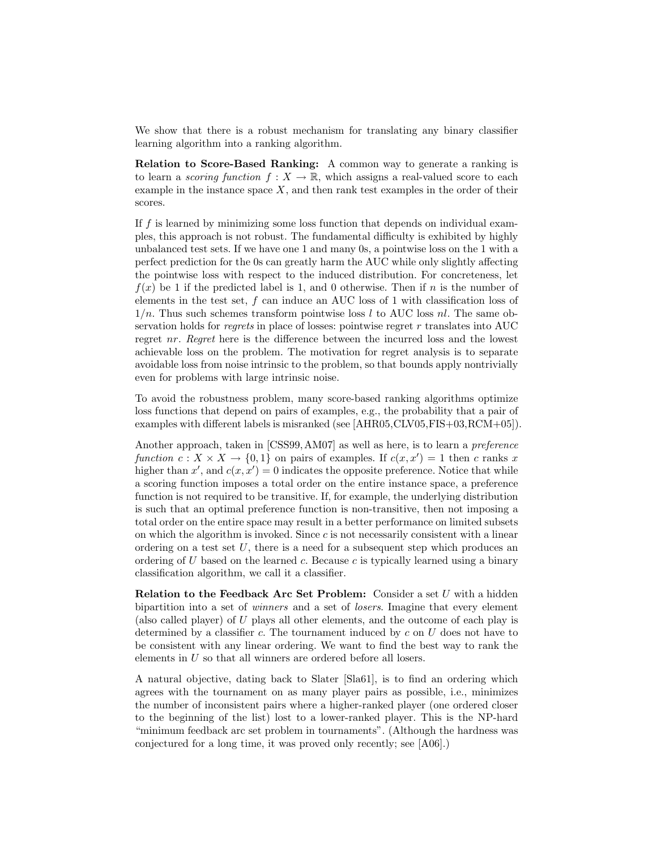We show that there is a robust mechanism for translating any binary classifier learning algorithm into a ranking algorithm.

Relation to Score-Based Ranking: A common way to generate a ranking is to learn a *scoring function*  $f: X \to \mathbb{R}$ , which assigns a real-valued score to each example in the instance space  $X$ , and then rank test examples in the order of their scores.

If f is learned by minimizing some loss function that depends on individual examples, this approach is not robust. The fundamental difficulty is exhibited by highly unbalanced test sets. If we have one 1 and many 0s, a pointwise loss on the 1 with a perfect prediction for the 0s can greatly harm the AUC while only slightly affecting the pointwise loss with respect to the induced distribution. For concreteness, let  $f(x)$  be 1 if the predicted label is 1, and 0 otherwise. Then if n is the number of elements in the test set,  $f$  can induce an AUC loss of 1 with classification loss of  $1/n$ . Thus such schemes transform pointwise loss l to AUC loss nl. The same observation holds for *regrets* in place of losses: pointwise regret  $r$  translates into AUC regret nr. Regret here is the difference between the incurred loss and the lowest achievable loss on the problem. The motivation for regret analysis is to separate avoidable loss from noise intrinsic to the problem, so that bounds apply nontrivially even for problems with large intrinsic noise.

To avoid the robustness problem, many score-based ranking algorithms optimize loss functions that depend on pairs of examples, e.g., the probability that a pair of examples with different labels is misranked (see [AHR05,CLV05,FIS+03,RCM+05]).

Another approach, taken in [CSS99, AM07] as well as here, is to learn a *preference* function  $c: X \times X \to \{0,1\}$  on pairs of examples. If  $c(x, x') = 1$  then c ranks x higher than  $x'$ , and  $c(x, x') = 0$  indicates the opposite preference. Notice that while a scoring function imposes a total order on the entire instance space, a preference function is not required to be transitive. If, for example, the underlying distribution is such that an optimal preference function is non-transitive, then not imposing a total order on the entire space may result in a better performance on limited subsets on which the algorithm is invoked. Since c is not necessarily consistent with a linear ordering on a test set  $U$ , there is a need for a subsequent step which produces an ordering of  $U$  based on the learned  $c$ . Because  $c$  is typically learned using a binary classification algorithm, we call it a classifier.

**Relation to the Feedback Arc Set Problem:** Consider a set  $U$  with a hidden bipartition into a set of *winners* and a set of *losers*. Imagine that every element (also called player) of U plays all other elements, and the outcome of each play is determined by a classifier  $c$ . The tournament induced by  $c$  on  $U$  does not have to be consistent with any linear ordering. We want to find the best way to rank the elements in U so that all winners are ordered before all losers.

A natural objective, dating back to Slater [Sla61], is to find an ordering which agrees with the tournament on as many player pairs as possible, i.e., minimizes the number of inconsistent pairs where a higher-ranked player (one ordered closer to the beginning of the list) lost to a lower-ranked player. This is the NP-hard "minimum feedback arc set problem in tournaments". (Although the hardness was conjectured for a long time, it was proved only recently; see [A06].)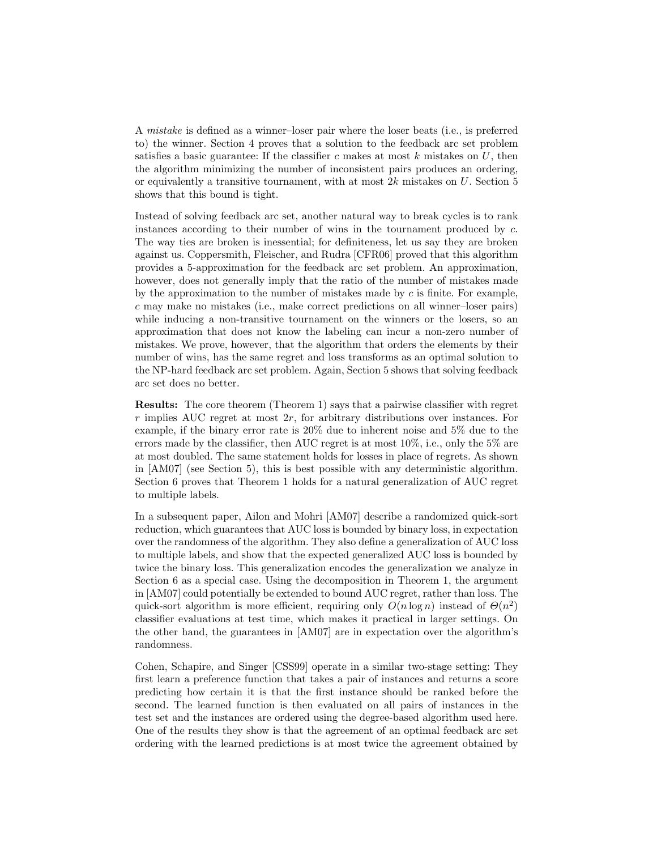A mistake is defined as a winner–loser pair where the loser beats (i.e., is preferred to) the winner. Section 4 proves that a solution to the feedback arc set problem satisfies a basic guarantee: If the classifier c makes at most  $k$  mistakes on  $U$ , then the algorithm minimizing the number of inconsistent pairs produces an ordering, or equivalently a transitive tournament, with at most  $2k$  mistakes on U. Section 5 shows that this bound is tight.

Instead of solving feedback arc set, another natural way to break cycles is to rank instances according to their number of wins in the tournament produced by c. The way ties are broken is inessential; for definiteness, let us say they are broken against us. Coppersmith, Fleischer, and Rudra [CFR06] proved that this algorithm provides a 5-approximation for the feedback arc set problem. An approximation, however, does not generally imply that the ratio of the number of mistakes made by the approximation to the number of mistakes made by  $c$  is finite. For example, c may make no mistakes (i.e., make correct predictions on all winner–loser pairs) while inducing a non-transitive tournament on the winners or the losers, so an approximation that does not know the labeling can incur a non-zero number of mistakes. We prove, however, that the algorithm that orders the elements by their number of wins, has the same regret and loss transforms as an optimal solution to the NP-hard feedback arc set problem. Again, Section 5 shows that solving feedback arc set does no better.

Results: The core theorem (Theorem 1) says that a pairwise classifier with regret  $r$  implies AUC regret at most  $2r$ , for arbitrary distributions over instances. For example, if the binary error rate is 20% due to inherent noise and 5% due to the errors made by the classifier, then AUC regret is at most 10%, i.e., only the 5% are at most doubled. The same statement holds for losses in place of regrets. As shown in [AM07] (see Section 5), this is best possible with any deterministic algorithm. Section 6 proves that Theorem 1 holds for a natural generalization of AUC regret to multiple labels.

In a subsequent paper, Ailon and Mohri [AM07] describe a randomized quick-sort reduction, which guarantees that AUC loss is bounded by binary loss, in expectation over the randomness of the algorithm. They also define a generalization of AUC loss to multiple labels, and show that the expected generalized AUC loss is bounded by twice the binary loss. This generalization encodes the generalization we analyze in Section 6 as a special case. Using the decomposition in Theorem 1, the argument in [AM07] could potentially be extended to bound AUC regret, rather than loss. The quick-sort algorithm is more efficient, requiring only  $O(n \log n)$  instead of  $\Theta(n^2)$ classifier evaluations at test time, which makes it practical in larger settings. On the other hand, the guarantees in [AM07] are in expectation over the algorithm's randomness.

Cohen, Schapire, and Singer [CSS99] operate in a similar two-stage setting: They first learn a preference function that takes a pair of instances and returns a score predicting how certain it is that the first instance should be ranked before the second. The learned function is then evaluated on all pairs of instances in the test set and the instances are ordered using the degree-based algorithm used here. One of the results they show is that the agreement of an optimal feedback arc set ordering with the learned predictions is at most twice the agreement obtained by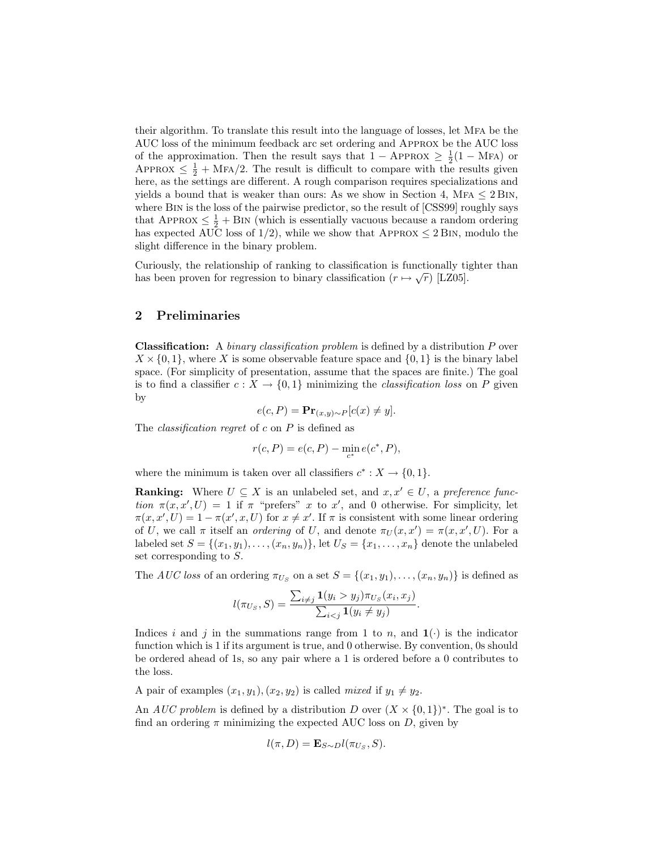their algorithm. To translate this result into the language of losses, let Mfa be the AUC loss of the minimum feedback arc set ordering and Approx be the AUC loss of the approximation. Then the result says that  $1 - APPROX \geq \frac{1}{2}(1 - MFA)$  or APPROX  $\leq \frac{1}{2} + \text{MFA}/2$ . The result is difficult to compare with the results given here, as the settings are different. A rough comparison requires specializations and yields a bound that is weaker than ours: As we show in Section 4, MFA  $\leq 2$  BIN, where Bin is the loss of the pairwise predictor, so the result of [CSS99] roughly says that APPROX  $\leq \frac{1}{2} + \text{BIN}$  (which is essentially vacuous because a random ordering has expected AUC loss of  $1/2$ , while we show that APPROX  $\leq 2$  BIN, modulo the slight difference in the binary problem.

Curiously, the relationship of ranking to classification is functionally tighter than has been proven for regression to binary classification  $(r \mapsto \sqrt{r})$  [LZ05].

### 2 Preliminaries

**Classification:** A *binary classification problem* is defined by a distribution  $P$  over  $X \times \{0,1\}$ , where X is some observable feature space and  $\{0,1\}$  is the binary label space. (For simplicity of presentation, assume that the spaces are finite.) The goal is to find a classifier  $c: X \to \{0,1\}$  minimizing the *classification loss* on P given by

$$
e(c, P) = \mathbf{Pr}_{(x,y)\sim P}[c(x) \neq y].
$$

The *classification regret* of  $c$  on  $P$  is defined as

$$
r(c, P) = e(c, P) - \min_{c^*} e(c^*, P),
$$

where the minimum is taken over all classifiers  $c^* : X \to \{0, 1\}.$ 

**Ranking:** Where  $U \subseteq X$  is an unlabeled set, and  $x, x' \in U$ , a preference function  $\pi(x, x', U) = 1$  if  $\pi$  "prefers" x to x', and 0 otherwise. For simplicity, let  $\pi(x, x', U) = 1 - \pi(x', x, U)$  for  $x \neq x'$ . If  $\pi$  is consistent with some linear ordering of U, we call  $\pi$  itself an *ordering* of U, and denote  $\pi_U(x, x') = \pi(x, x', U)$ . For a labeled set  $S = \{(x_1, y_1), \ldots, (x_n, y_n)\}\,$  let  $U_S = \{x_1, \ldots, x_n\}$  denote the unlabeled set corresponding to S.

The *AUC* loss of an ordering  $\pi_{U_S}$  on a set  $S = \{(x_1, y_1), \ldots, (x_n, y_n)\}$  is defined as

$$
l(\pi_{U_S}, S) = \frac{\sum_{i \neq j} \mathbf{1}(y_i > y_j) \pi_{U_S}(x_i, x_j)}{\sum_{i < j} \mathbf{1}(y_i \neq y_j)}.
$$

Indices i and j in the summations range from 1 to n, and  $\mathbf{1}(\cdot)$  is the indicator function which is 1 if its argument is true, and 0 otherwise. By convention, 0s should be ordered ahead of 1s, so any pair where a 1 is ordered before a 0 contributes to the loss.

A pair of examples  $(x_1, y_1), (x_2, y_2)$  is called mixed if  $y_1 \neq y_2$ .

An *AUC problem* is defined by a distribution D over  $(X \times \{0,1\})^*$ . The goal is to find an ordering  $\pi$  minimizing the expected AUC loss on D, given by

$$
l(\pi, D) = \mathbf{E}_{S \sim D} l(\pi_{U_S}, S).
$$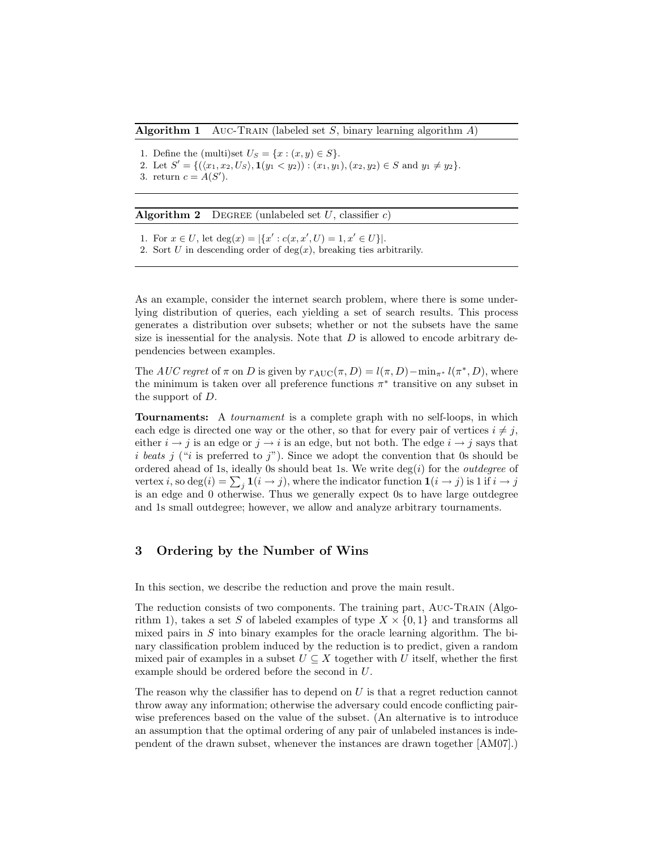#### **Algorithm 1** AUC-TRAIN (labeled set S, binary learning algorithm  $A$ )

- 1. Define the (multi)set  $U_S = \{x : (x, y) \in S\}.$
- 2. Let  $S' = \{(\langle x_1, x_2, U_S \rangle, \mathbf{1}(y_1 \langle y_2 \rangle) : (x_1, y_1), (x_2, y_2) \in S \text{ and } y_1 \neq y_2\}.$
- 3. return  $c = A(S')$ .

**Algorithm 2** DEGREE (unlabeled set  $U$ , classifier c)

- 1. For  $x \in U$ , let  $\deg(x) = |\{x' : c(x, x', U) = 1, x' \in U\}|$ .
- 2. Sort U in descending order of  $deg(x)$ , breaking ties arbitrarily.

As an example, consider the internet search problem, where there is some underlying distribution of queries, each yielding a set of search results. This process generates a distribution over subsets; whether or not the subsets have the same size is inessential for the analysis. Note that  $D$  is allowed to encode arbitrary dependencies between examples.

The AUC regret of  $\pi$  on D is given by  $r_{\text{AUC}}(\pi, D) = l(\pi, D) - \min_{\pi^*} l(\pi^*, D)$ , where the minimum is taken over all preference functions  $\pi^*$  transitive on any subset in the support of D.

Tournaments: A tournament is a complete graph with no self-loops, in which each edge is directed one way or the other, so that for every pair of vertices  $i \neq j$ , either  $i \rightarrow j$  is an edge or  $j \rightarrow i$  is an edge, but not both. The edge  $i \rightarrow j$  says that i beats j ("i is preferred to j"). Since we adopt the convention that 0s should be ordered ahead of 1s, ideally 0s should beat 1s. We write  $\deg(i)$  for the *outdegree* of vertex *i*, so  $\deg(i) = \sum_j \mathbf{1}(i \rightarrow j)$ , where the indicator function  $\mathbf{1}(i \rightarrow j)$  is 1 if  $i \rightarrow j$ is an edge and 0 otherwise. Thus we generally expect 0s to have large outdegree and 1s small outdegree; however, we allow and analyze arbitrary tournaments.

### 3 Ordering by the Number of Wins

In this section, we describe the reduction and prove the main result.

The reduction consists of two components. The training part, Auc-Train (Algorithm 1), takes a set S of labeled examples of type  $X \times \{0,1\}$  and transforms all mixed pairs in  $S$  into binary examples for the oracle learning algorithm. The binary classification problem induced by the reduction is to predict, given a random mixed pair of examples in a subset  $U \subseteq X$  together with U itself, whether the first example should be ordered before the second in U.

The reason why the classifier has to depend on  $U$  is that a regret reduction cannot throw away any information; otherwise the adversary could encode conflicting pairwise preferences based on the value of the subset. (An alternative is to introduce an assumption that the optimal ordering of any pair of unlabeled instances is independent of the drawn subset, whenever the instances are drawn together [AM07].)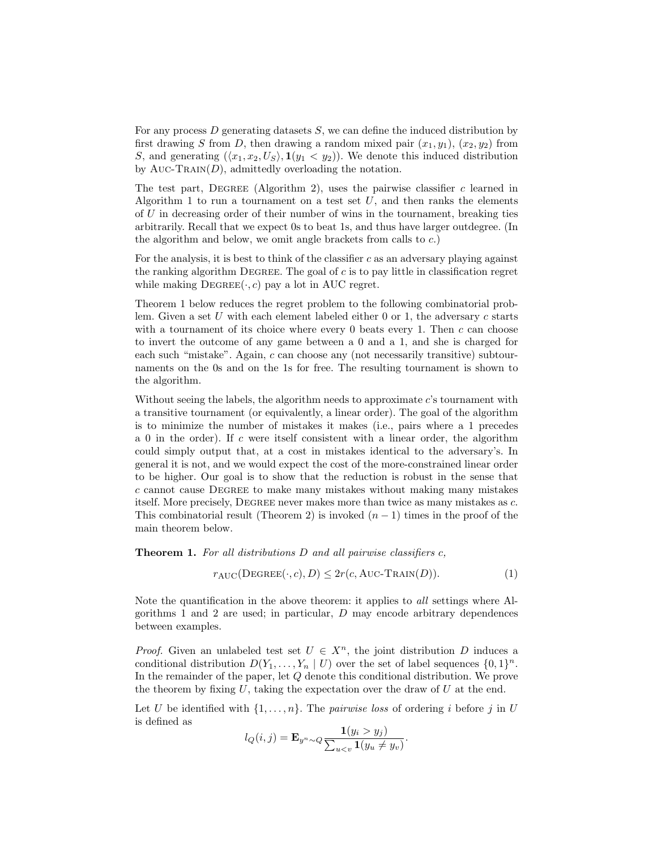For any process  $D$  generating datasets  $S$ , we can define the induced distribution by first drawing S from D, then drawing a random mixed pair  $(x_1, y_1)$ ,  $(x_2, y_2)$  from S, and generating  $(\langle x_1, x_2, U_S \rangle, \mathbf{1}(y_1 \langle y_2 \rangle))$ . We denote this induced distribution by Auc-Train(D), admittedly overloading the notation.

The test part, DEGREE (Algorithm 2), uses the pairwise classifier  $c$  learned in Algorithm 1 to run a tournament on a test set  $U$ , and then ranks the elements of U in decreasing order of their number of wins in the tournament, breaking ties arbitrarily. Recall that we expect 0s to beat 1s, and thus have larger outdegree. (In the algorithm and below, we omit angle brackets from calls to c.)

For the analysis, it is best to think of the classifier  $c$  as an adversary playing against the ranking algorithm DEGREE. The goal of  $c$  is to pay little in classification regret while making  $DEGREE(\cdot, c)$  pay a lot in AUC regret.

Theorem 1 below reduces the regret problem to the following combinatorial problem. Given a set U with each element labeled either 0 or 1, the adversary  $c$  starts with a tournament of its choice where every  $0$  beats every 1. Then  $c$  can choose to invert the outcome of any game between a 0 and a 1, and she is charged for each such "mistake". Again, c can choose any (not necessarily transitive) subtournaments on the 0s and on the 1s for free. The resulting tournament is shown to the algorithm.

Without seeing the labels, the algorithm needs to approximate  $c$ 's tournament with a transitive tournament (or equivalently, a linear order). The goal of the algorithm is to minimize the number of mistakes it makes (i.e., pairs where a 1 precedes a 0 in the order). If c were itself consistent with a linear order, the algorithm could simply output that, at a cost in mistakes identical to the adversary's. In general it is not, and we would expect the cost of the more-constrained linear order to be higher. Our goal is to show that the reduction is robust in the sense that c cannot cause Degree to make many mistakes without making many mistakes itself. More precisely, DEGREE never makes more than twice as many mistakes as c. This combinatorial result (Theorem 2) is invoked  $(n-1)$  times in the proof of the main theorem below.

**Theorem 1.** For all distributions  $D$  and all pairwise classifiers  $c$ ,

$$
r_{\text{AUC}}(\text{DEGREE}(\cdot, c), D) \le 2r(c, \text{AUC-TRAIN}(D)).\tag{1}
$$

Note the quantification in the above theorem: it applies to all settings where Algorithms 1 and 2 are used; in particular, D may encode arbitrary dependences between examples.

*Proof.* Given an unlabeled test set  $U \in X^n$ , the joint distribution D induces a conditional distribution  $D(Y_1, \ldots, Y_n \mid U)$  over the set of label sequences  $\{0,1\}^n$ . In the remainder of the paper, let Q denote this conditional distribution. We prove the theorem by fixing  $U$ , taking the expectation over the draw of  $U$  at the end.

Let U be identified with  $\{1, \ldots, n\}$ . The *pairwise loss* of ordering i before j in U is defined as

$$
l_Q(i,j) = \mathbf{E}_{y^n \sim Q} \frac{\mathbf{1}(y_i > y_j)}{\sum_{u < v} \mathbf{1}(y_u \neq y_v)}.
$$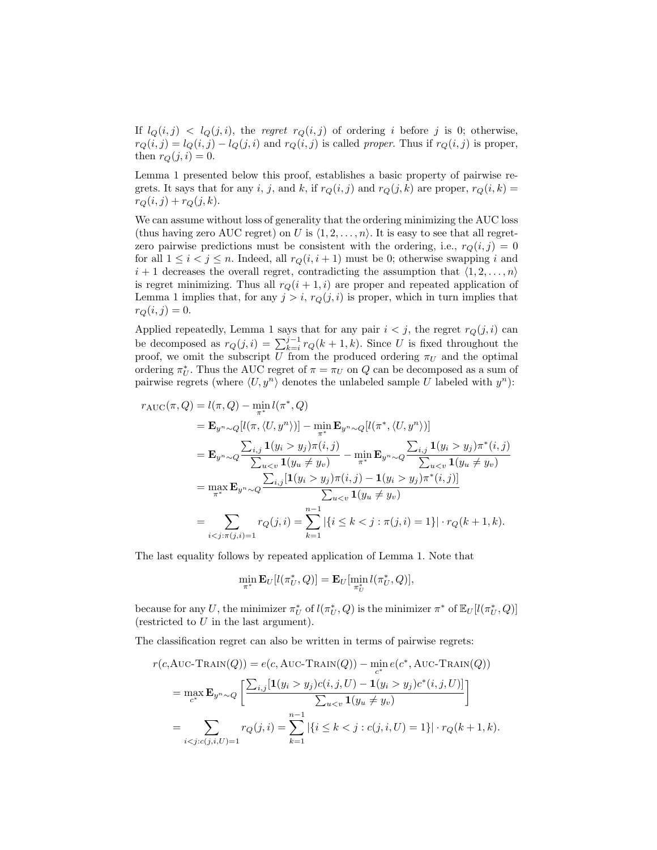If  $l_Q(i, j) < l_Q(j, i)$ , the regret  $r_Q(i, j)$  of ordering i before j is 0; otherwise,  $r_Q(i, j) = l_Q(i, j) - l_Q(j, i)$  and  $r_Q(i, j)$  is called proper. Thus if  $r_Q(i, j)$  is proper, then  $r_Q(j, i) = 0$ .

Lemma 1 presented below this proof, establishes a basic property of pairwise regrets. It says that for any i, j, and k, if  $r_Q(i, j)$  and  $r_Q(j, k)$  are proper,  $r_Q(i, k)$  $r_Q(i, j) + r_Q(j, k).$ 

We can assume without loss of generality that the ordering minimizing the AUC loss (thus having zero AUC regret) on U is  $\langle 1, 2, \ldots, n \rangle$ . It is easy to see that all regretzero pairwise predictions must be consistent with the ordering, i.e.,  $r_Q(i, j) = 0$ for all  $1 \leq i \leq j \leq n$ . Indeed, all  $r_Q(i, i + 1)$  must be 0; otherwise swapping i and  $i + 1$  decreases the overall regret, contradicting the assumption that  $\langle 1, 2, \ldots, n \rangle$ is regret minimizing. Thus all  $r_Q(i + 1, i)$  are proper and repeated application of Lemma 1 implies that, for any  $j > i$ ,  $r_Q(j, i)$  is proper, which in turn implies that  $r_Q(i, j) = 0.$ 

Applied repeatedly, Lemma 1 says that for any pair  $i < j$ , the regret  $r_Q(j, i)$  can be decomposed as  $r_Q(j, i) = \sum_{k=i}^{j-1} r_Q(k+1, k)$ . Since U is fixed throughout the proof, we omit the subscript U from the produced ordering  $\pi_U$  and the optimal ordering  $\pi_U^*$ . Thus the AUC regret of  $\pi = \pi_U$  on  $Q$  can be decomposed as a sum of pairwise regrets (where  $\langle U, y^n \rangle$  denotes the unlabeled sample U labeled with  $y^n$ ):

$$
r_{\text{AUC}}(\pi, Q) = l(\pi, Q) - \min_{\pi^*} l(\pi^*, Q)
$$
  
\n
$$
= \mathbf{E}_{y^n \sim Q} [l(\pi, \langle U, y^n \rangle)] - \min_{\pi^*} \mathbf{E}_{y^n \sim Q} [l(\pi^*, \langle U, y^n \rangle)]
$$
  
\n
$$
= \mathbf{E}_{y^n \sim Q} \frac{\sum_{i,j} \mathbf{1}(y_i > y_j) \pi(i,j)}{\sum_{u < v} \mathbf{1}(y_u \neq y_v)} - \min_{\pi^*} \mathbf{E}_{y^n \sim Q} \frac{\sum_{i,j} \mathbf{1}(y_i > y_j) \pi^*(i,j)}{\sum_{u < v} \mathbf{1}(y_u \neq y_v)}
$$
  
\n
$$
= \max_{\pi^*} \mathbf{E}_{y^n \sim Q} \frac{\sum_{i,j} [\mathbf{1}(y_i > y_j) \pi(i,j) - \mathbf{1}(y_i > y_j) \pi^*(i,j)]}{\sum_{u < v} \mathbf{1}(y_u \neq y_v)}
$$
  
\n
$$
= \sum_{i < j: \pi(j,i)=1} r_Q(j,i) = \sum_{k=1}^{n-1} |\{i \le k < j: \pi(j,i) = 1\}| \cdot r_Q(k+1,k).
$$

The last equality follows by repeated application of Lemma 1. Note that

$$
\min_{\pi^*} \mathbf{E}_U[l(\pi^*_U, Q)] = \mathbf{E}_U[\min_{\pi^*_U} l(\pi^*_U, Q)],
$$

because for any U, the minimizer  $\pi_U^*$  of  $l(\pi_U^*, Q)$  is the minimizer  $\pi^*$  of  $\mathbb{E}_U[l(\pi_U^*, Q)]$ (restricted to  $U$  in the last argument).

The classification regret can also be written in terms of pairwise regrets:

$$
r(c, \text{AUC-TRAIN}(Q)) = e(c, \text{AUC-TRAIN}(Q)) - \min_{c^*} e(c^*, \text{AUC-TRAIN}(Q))
$$
  
= 
$$
\max_{c^*} \mathbf{E}_{y^n \sim Q} \left[ \frac{\sum_{i,j} [1(y_i > y_j)c(i,j,U) - 1(y_i > y_j)c^*(i,j,U)]}{\sum_{u < v} 1(y_u \neq y_v)} \right]
$$
  
= 
$$
\sum_{i < j:c(j,i,U)=1} r_Q(j,i) = \sum_{k=1}^{n-1} |\{i \le k < j : c(j,i,U) = 1\}| \cdot r_Q(k+1,k).
$$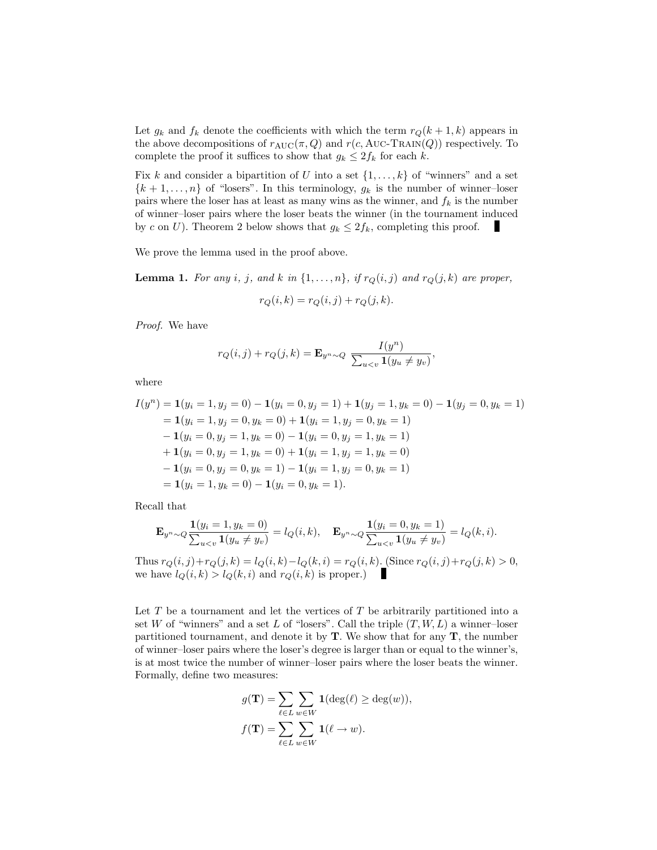Let  $g_k$  and  $f_k$  denote the coefficients with which the term  $r_Q(k+1, k)$  appears in the above decompositions of  $r_{AUC}(\pi, Q)$  and  $r(c, AUC-TRAIN(Q))$  respectively. To complete the proof it suffices to show that  $g_k \leq 2f_k$  for each k.

Fix k and consider a bipartition of U into a set  $\{1, \ldots, k\}$  of "winners" and a set  ${k+1,\ldots,n}$  of "losers". In this terminology,  $g_k$  is the number of winner-loser pairs where the loser has at least as many wins as the winner, and  $f_k$  is the number of winner–loser pairs where the loser beats the winner (in the tournament induced by c on U). Theorem 2 below shows that  $g_k \leq 2f_k$ , completing this proof.

We prove the lemma used in the proof above.

**Lemma 1.** For any i, j, and k in  $\{1, \ldots, n\}$ , if  $r_Q(i, j)$  and  $r_Q(j, k)$  are proper,

$$
r_Q(i,k) = r_Q(i,j) + r_Q(j,k).
$$

Proof. We have

$$
r_Q(i,j) + r_Q(j,k) = \mathbf{E}_{y^n \sim Q} \frac{I(y^n)}{\sum_{u < v} \mathbf{1}(y_u \neq y_v)},
$$

where

$$
I(y^n) = \mathbf{1}(y_i = 1, y_j = 0) - \mathbf{1}(y_i = 0, y_j = 1) + \mathbf{1}(y_j = 1, y_k = 0) - \mathbf{1}(y_j = 0, y_k = 1)
$$
  
=  $\mathbf{1}(y_i = 1, y_j = 0, y_k = 0) + \mathbf{1}(y_i = 1, y_j = 0, y_k = 1)$   
 $\mathbf{-1}(y_i = 0, y_j = 1, y_k = 0) - \mathbf{1}(y_i = 0, y_j = 1, y_k = 1)$   
 $\mathbf{+1}(y_i = 0, y_j = 1, y_k = 0) + \mathbf{1}(y_i = 1, y_j = 1, y_k = 0)$   
 $\mathbf{-1}(y_i = 0, y_j = 0, y_k = 1) - \mathbf{1}(y_i = 1, y_j = 0, y_k = 1)$   
=  $\mathbf{1}(y_i = 1, y_k = 0) - \mathbf{1}(y_i = 0, y_k = 1).$ 

Recall that

$$
\mathbf{E}_{y^n \sim Q} \frac{\mathbf{1}(y_i = 1, y_k = 0)}{\sum_{u < v} \mathbf{1}(y_u \neq y_v)} = l_Q(i, k), \quad \mathbf{E}_{y^n \sim Q} \frac{\mathbf{1}(y_i = 0, y_k = 1)}{\sum_{u < v} \mathbf{1}(y_u \neq y_v)} = l_Q(k, i).
$$

Thus  $r_Q(i, j) + r_Q(j, k) = l_Q(i, k) - l_Q(k, i) = r_Q(i, k)$ . (Since  $r_Q(i, j) + r_Q(j, k) > 0$ , we have  $l_Q(i, k) > l_Q(k, i)$  and  $r_Q(i, k)$  is proper.)

Let  $T$  be a tournament and let the vertices of  $T$  be arbitrarily partitioned into a set W of "winners" and a set L of "losers". Call the triple  $(T, W, L)$  a winner-loser partitioned tournament, and denote it by  $T$ . We show that for any  $T$ , the number of winner–loser pairs where the loser's degree is larger than or equal to the winner's, is at most twice the number of winner–loser pairs where the loser beats the winner. Formally, define two measures:

$$
g(\mathbf{T}) = \sum_{\ell \in L} \sum_{w \in W} \mathbf{1}(\deg(\ell) \ge \deg(w)),
$$
  

$$
f(\mathbf{T}) = \sum_{\ell \in L} \sum_{w \in W} \mathbf{1}(\ell \to w).
$$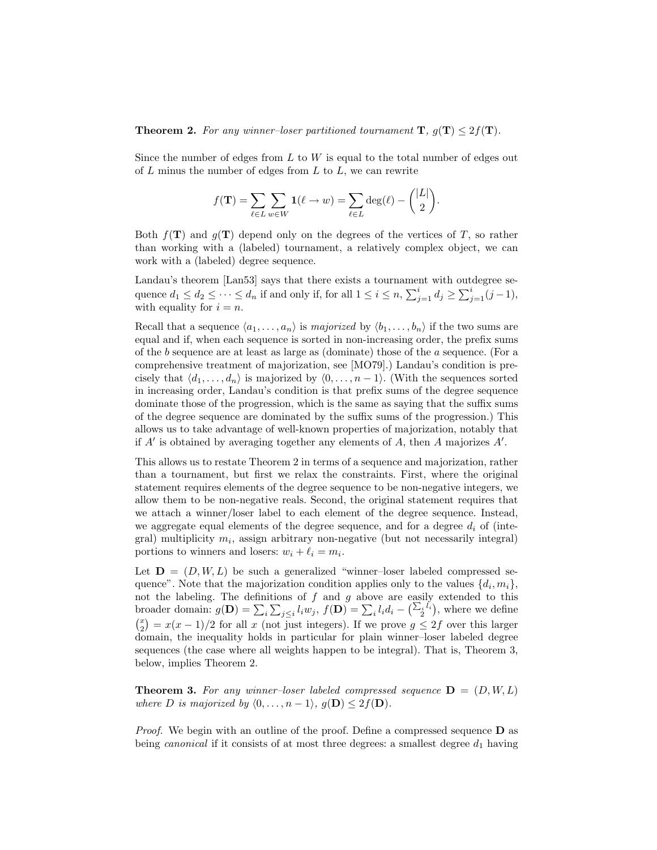**Theorem 2.** For any winner-loser partitioned tournament  $\mathbf{T}$ ,  $g(\mathbf{T}) \leq 2f(\mathbf{T})$ .

Since the number of edges from  $L$  to  $W$  is equal to the total number of edges out of  $L$  minus the number of edges from  $L$  to  $L$ , we can rewrite

$$
f(\mathbf{T}) = \sum_{\ell \in L} \sum_{w \in W} \mathbf{1}(\ell \to w) = \sum_{\ell \in L} \deg(\ell) - \binom{|L|}{2}.
$$

 $\lambda$ |  $\pm$  +  $\lambda$ 

Both  $f(T)$  and  $g(T)$  depend only on the degrees of the vertices of T, so rather than working with a (labeled) tournament, a relatively complex object, we can work with a (labeled) degree sequence.

Landau's theorem [Lan53] says that there exists a tournament with outdegree sequence  $d_1 \leq d_2 \leq \cdots \leq d_n$  if and only if, for all  $1 \leq i \leq n$ ,  $\sum_{j=1}^{i} d_j \geq \sum_{j=1}^{i} (j-1)$ , with equality for  $i = n$ .

Recall that a sequence  $\langle a_1, \ldots, a_n \rangle$  is majorized by  $\langle b_1, \ldots, b_n \rangle$  if the two sums are equal and if, when each sequence is sorted in non-increasing order, the prefix sums of the b sequence are at least as large as (dominate) those of the a sequence. (For a comprehensive treatment of majorization, see [MO79].) Landau's condition is precisely that  $\langle d_1, \ldots, d_n \rangle$  is majorized by  $\langle 0, \ldots, n-1 \rangle$ . (With the sequences sorted in increasing order, Landau's condition is that prefix sums of the degree sequence dominate those of the progression, which is the same as saying that the suffix sums of the degree sequence are dominated by the suffix sums of the progression.) This allows us to take advantage of well-known properties of majorization, notably that if  $A'$  is obtained by averaging together any elements of  $A$ , then  $A$  majorizes  $A'$ .

This allows us to restate Theorem 2 in terms of a sequence and majorization, rather than a tournament, but first we relax the constraints. First, where the original statement requires elements of the degree sequence to be non-negative integers, we allow them to be non-negative reals. Second, the original statement requires that we attach a winner/loser label to each element of the degree sequence. Instead, we aggregate equal elements of the degree sequence, and for a degree  $d_i$  of (integral) multiplicity  $m_i$ , assign arbitrary non-negative (but not necessarily integral) portions to winners and losers:  $w_i + \ell_i = m_i$ .

Let  $\mathbf{D} = (D, W, L)$  be such a generalized "winner-loser labeled compressed sequence". Note that the majorization condition applies only to the values  $\{d_i, m_i\}$ , not the labeling. The definitions of  $f$  and  $g$  above are easily extended to this broader domain:  $g(\mathbf{D}) = \sum_i \sum_{j \leq i} l_i w_j$ ,  $f(\mathbf{D}) = \sum_i l_i d_i - (\sum_i l_i)$ , where we define  $\binom{x}{2} = x(x-1)/2$  for all x (not just integers). If we prove  $g \leq 2f$  over this larger domain, the inequality holds in particular for plain winner–loser labeled degree sequences (the case where all weights happen to be integral). That is, Theorem 3, below, implies Theorem 2.

**Theorem 3.** For any winner-loser labeled compressed sequence  $D = (D, W, L)$ where D is majorized by  $\langle 0, \ldots, n-1 \rangle$ ,  $g(\mathbf{D}) \leq 2f(\mathbf{D})$ .

*Proof.* We begin with an outline of the proof. Define a compressed sequence  $\bf{D}$  as being *canonical* if it consists of at most three degrees: a smallest degree  $d_1$  having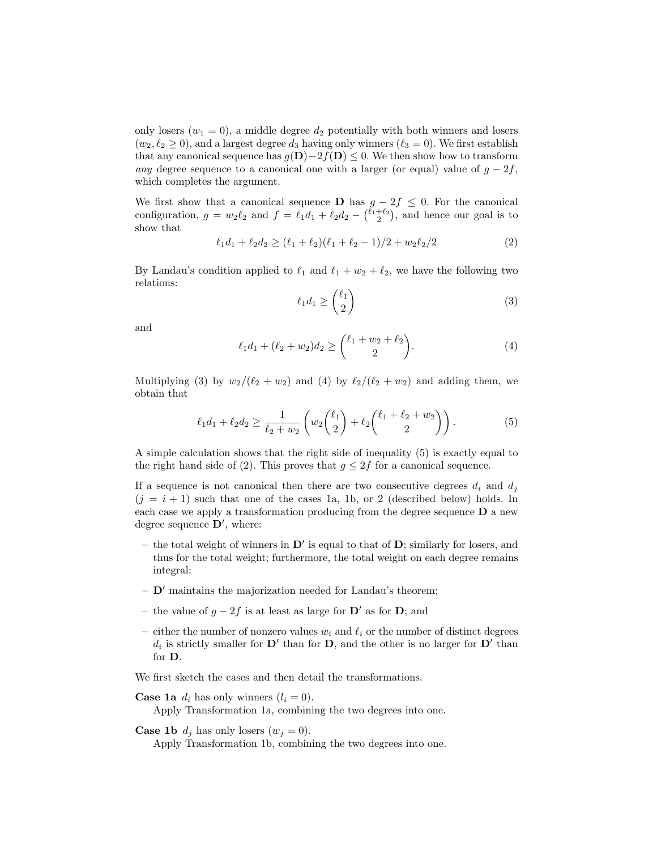only losers ( $w_1 = 0$ ), a middle degree  $d_2$  potentially with both winners and losers  $(w_2, \ell_2 \geq 0)$ , and a largest degree  $d_3$  having only winners  $(\ell_3 = 0)$ . We first establish that any canonical sequence has  $g(\mathbf{D})-2f(\mathbf{D}) \leq 0$ . We then show how to transform any degree sequence to a canonical one with a larger (or equal) value of  $g - 2f$ , which completes the argument.

We first show that a canonical sequence D has  $g - 2f \leq 0$ . For the canonical configuration,  $g = w_2 \ell_2$  and  $f = \ell_1 d_1 + \ell_2 d_2 - {\ell_1 + \ell_2 \choose 2}$ , and hence our goal is to show that

$$
\ell_1 d_1 + \ell_2 d_2 \ge (\ell_1 + \ell_2)(\ell_1 + \ell_2 - 1)/2 + w_2 \ell_2/2 \tag{2}
$$

By Landau's condition applied to  $\ell_1$  and  $\ell_1 + w_2 + \ell_2$ , we have the following two relations:

$$
\ell_1 d_1 \ge \binom{\ell_1}{2} \tag{3}
$$

and

$$
\ell_1 d_1 + (\ell_2 + w_2) d_2 \ge \binom{\ell_1 + w_2 + \ell_2}{2}.
$$
 (4)

Multiplying (3) by  $w_2/(\ell_2 + w_2)$  and (4) by  $\ell_2/(\ell_2 + w_2)$  and adding them, we obtain that

$$
\ell_1 d_1 + \ell_2 d_2 \ge \frac{1}{\ell_2 + w_2} \left( w_2 \binom{\ell_1}{2} + \ell_2 \binom{\ell_1 + \ell_2 + w_2}{2} \right). \tag{5}
$$

A simple calculation shows that the right side of inequality (5) is exactly equal to the right hand side of (2). This proves that  $g \leq 2f$  for a canonical sequence.

If a sequence is not canonical then there are two consecutive degrees  $d_i$  and  $d_j$  $(j = i + 1)$  such that one of the cases 1a, 1b, or 2 (described below) holds. In each case we apply a transformation producing from the degree sequence D a new degree sequence  $\mathbf{D}'$ , where:

- the total weight of winners in  $\mathbf{D}'$  is equal to that of  $\mathbf{D}$ ; similarly for losers, and thus for the total weight; furthermore, the total weight on each degree remains integral;
- $\mathbf{D}'$  maintains the majorization needed for Landau's theorem;
- the value of  $g 2f$  is at least as large for  $\mathbf{D}'$  as for  $\mathbf{D}$ ; and
- either the number of nonzero values  $w_i$  and  $\ell_i$  or the number of distinct degrees  $d_i$  is strictly smaller for  $\mathbf{D}'$  than for  $\mathbf{D}$ , and the other is no larger for  $\mathbf{D}'$  than for D.

We first sketch the cases and then detail the transformations.

**Case 1a**  $d_i$  has only winners  $(l_i = 0)$ .

Apply Transformation 1a, combining the two degrees into one.

**Case 1b**  $d_j$  has only losers  $(w_j = 0)$ .

Apply Transformation 1b, combining the two degrees into one.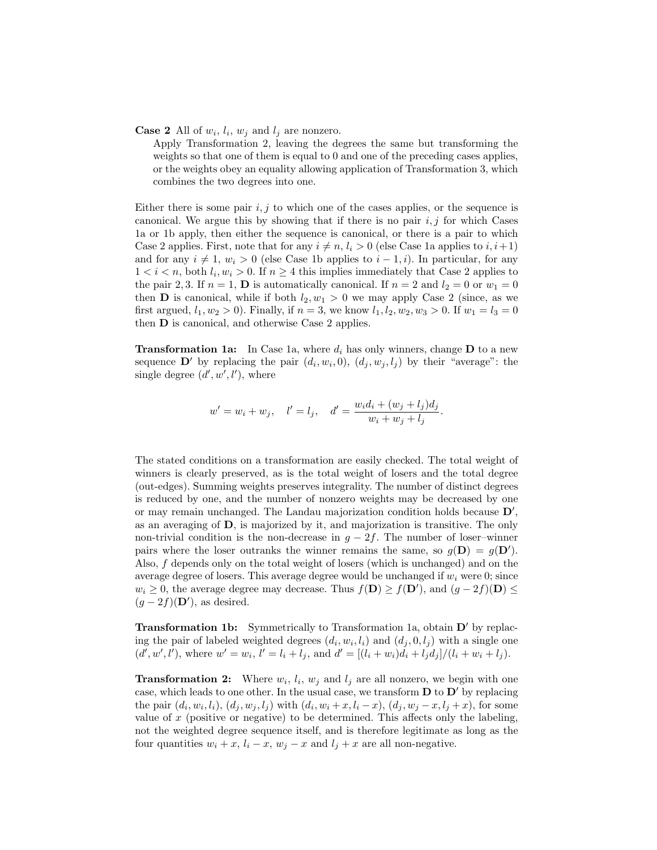#### **Case 2** All of  $w_i$ ,  $l_i$ ,  $w_j$  and  $l_j$  are nonzero.

Apply Transformation 2, leaving the degrees the same but transforming the weights so that one of them is equal to 0 and one of the preceding cases applies, or the weights obey an equality allowing application of Transformation 3, which combines the two degrees into one.

Either there is some pair  $i, j$  to which one of the cases applies, or the sequence is canonical. We argue this by showing that if there is no pair  $i, j$  for which Cases 1a or 1b apply, then either the sequence is canonical, or there is a pair to which Case 2 applies. First, note that for any  $i \neq n, l_i > 0$  (else Case 1a applies to  $i, i+1$ ) and for any  $i \neq 1$ ,  $w_i > 0$  (else Case 1b applies to  $i - 1, i$ ). In particular, for any  $1 < i < n$ , both  $l_i, w_i > 0$ . If  $n \geq 4$  this implies immediately that Case 2 applies to the pair 2, 3. If  $n = 1$ , **D** is automatically canonical. If  $n = 2$  and  $l_2 = 0$  or  $w_1 = 0$ then **D** is canonical, while if both  $l_2, w_1 > 0$  we may apply Case 2 (since, as we first argued,  $l_1, w_2 > 0$ ). Finally, if  $n = 3$ , we know  $l_1, l_2, w_2, w_3 > 0$ . If  $w_1 = l_3 = 0$ then D is canonical, and otherwise Case 2 applies.

**Transformation 1a:** In Case 1a, where  $d_i$  has only winners, change **D** to a new sequence  $\mathbf{D}'$  by replacing the pair  $(d_i, w_i, 0)$ ,  $(d_j, w_j, l_j)$  by their "average": the single degree  $(d', w', l')$ , where

$$
w' = w_i + w_j
$$
,  $l' = l_j$ ,  $d' = \frac{w_i d_i + (w_j + l_j) d_j}{w_i + w_j + l_j}$ .

The stated conditions on a transformation are easily checked. The total weight of winners is clearly preserved, as is the total weight of losers and the total degree (out-edges). Summing weights preserves integrality. The number of distinct degrees is reduced by one, and the number of nonzero weights may be decreased by one or may remain unchanged. The Landau majorization condition holds because  $D'$ , as an averaging of D, is majorized by it, and majorization is transitive. The only non-trivial condition is the non-decrease in  $g - 2f$ . The number of loser–winner pairs where the loser outranks the winner remains the same, so  $g(\mathbf{D}) = g(\mathbf{D}')$ . Also, f depends only on the total weight of losers (which is unchanged) and on the average degree of losers. This average degree would be unchanged if  $w_i$  were 0; since  $w_i \geq 0$ , the average degree may decrease. Thus  $f(\mathbf{D}) \geq f(\mathbf{D}')$ , and  $(g - 2f)(\mathbf{D}) \leq$  $(g-2f)(\mathbf{D}')$ , as desired.

**Transformation 1b:** Symmetrically to Transformation 1a, obtain  $D'$  by replacing the pair of labeled weighted degrees  $(d_i, w_i, l_i)$  and  $(d_j, 0, l_j)$  with a single one  $(d', w', l')$ , where  $w' = w_i$ ,  $l' = l_i + l_j$ , and  $d' = [(l_i + w_i)d_i + l_jd_j]/(l_i + w_i + l_j)$ .

**Transformation 2:** Where  $w_i$ ,  $l_i$ ,  $w_j$  and  $l_j$  are all nonzero, we begin with one case, which leads to one other. In the usual case, we transform  $\mathbf D$  to  $\mathbf D'$  by replacing the pair  $(d_i, w_i, l_i)$ ,  $(d_j, w_j, l_j)$  with  $(d_i, w_i + x, l_i - x)$ ,  $(d_j, w_j - x, l_j + x)$ , for some value of  $x$  (positive or negative) to be determined. This affects only the labeling, not the weighted degree sequence itself, and is therefore legitimate as long as the four quantities  $w_i + x$ ,  $l_i - x$ ,  $w_j - x$  and  $l_j + x$  are all non-negative.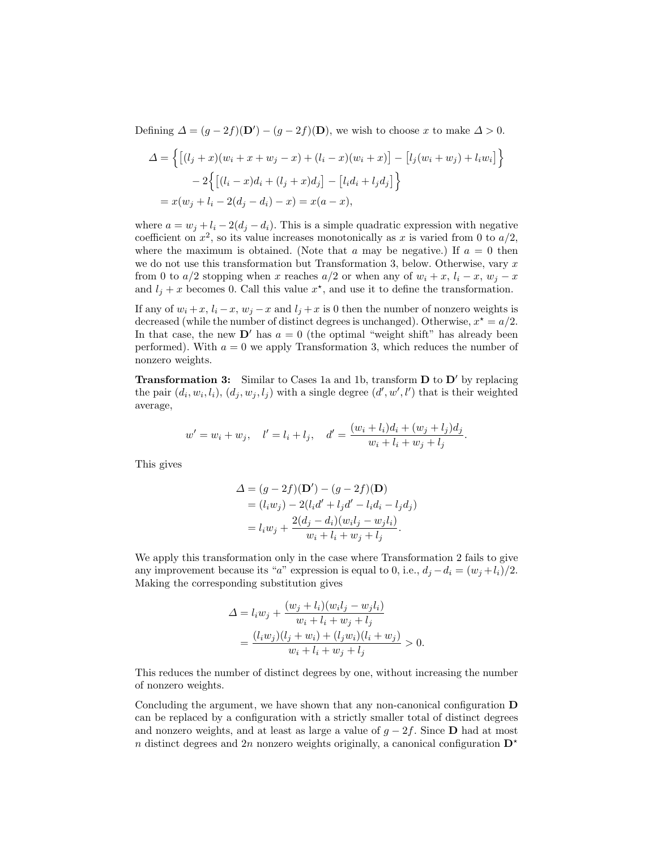Defining  $\Delta = (g - 2f)(\mathbf{D}') - (g - 2f)(\mathbf{D})$ , we wish to choose x to make  $\Delta > 0$ .

$$
\Delta = \left\{ \left[ (l_j + x)(w_i + x + w_j - x) + (l_i - x)(w_i + x) \right] - \left[ l_j(w_i + w_j) + l_i w_i \right] \right\} - 2 \left\{ \left[ (l_i - x)d_i + (l_j + x)d_j \right] - \left[ l_i d_i + l_j d_j \right] \right\} = x(w_j + l_i - 2(d_j - d_i) - x) = x(a - x),
$$

where  $a = w_i + l_i - 2(d_i - d_i)$ . This is a simple quadratic expression with negative coefficient on  $x^2$ , so its value increases monotonically as x is varied from 0 to  $a/2$ , where the maximum is obtained. (Note that a may be negative.) If  $a = 0$  then we do not use this transformation but Transformation 3, below. Otherwise, vary  $x$ from 0 to  $a/2$  stopping when x reaches  $a/2$  or when any of  $w_i + x$ ,  $l_i - x$ ,  $w_j - x$ and  $l_j + x$  becomes 0. Call this value  $x^*$ , and use it to define the transformation.

If any of  $w_i + x$ ,  $l_i - x$ ,  $w_j - x$  and  $l_j + x$  is 0 then the number of nonzero weights is decreased (while the number of distinct degrees is unchanged). Otherwise,  $x^* = a/2$ . In that case, the new  $\mathbf{D}'$  has  $a = 0$  (the optimal "weight shift" has already been performed). With  $a = 0$  we apply Transformation 3, which reduces the number of nonzero weights.

**Transformation 3:** Similar to Cases 1a and 1b, transform  $D$  to  $D'$  by replacing the pair  $(d_i, w_i, l_i), (d_j, w_j, l_j)$  with a single degree  $(d', w', l')$  that is their weighted average,

$$
w' = w_i + w_j, \quad l' = l_i + l_j, \quad d' = \frac{(w_i + l_i)d_i + (w_j + l_j)d_j}{w_i + l_i + w_j + l_j}.
$$

This gives

$$
\Delta = (g - 2f)(\mathbf{D}') - (g - 2f)(\mathbf{D})
$$
  
=  $(l_i w_j) - 2(l_i d' + l_j d' - l_i d_i - l_j d_j)$   
=  $l_i w_j + \frac{2(d_j - d_i)(w_i l_j - w_j l_i)}{w_i + l_i + w_j + l_j}.$ 

We apply this transformation only in the case where Transformation 2 fails to give any improvement because its "a" expression is equal to 0, i.e.,  $d_j - d_i = (w_j + l_i)/2$ . Making the corresponding substitution gives

$$
\Delta = l_i w_j + \frac{(w_j + l_i)(w_i l_j - w_j l_i)}{w_i + l_i + w_j + l_j} \n= \frac{(l_i w_j)(l_j + w_i) + (l_j w_i)(l_i + w_j)}{w_i + l_i + w_j + l_j} > 0.
$$

This reduces the number of distinct degrees by one, without increasing the number of nonzero weights.

Concluding the argument, we have shown that any non-canonical configuration D can be replaced by a configuration with a strictly smaller total of distinct degrees and nonzero weights, and at least as large a value of  $g - 2f$ . Since **D** had at most n distinct degrees and 2n nonzero weights originally, a canonical configuration  $\mathbf{D}^*$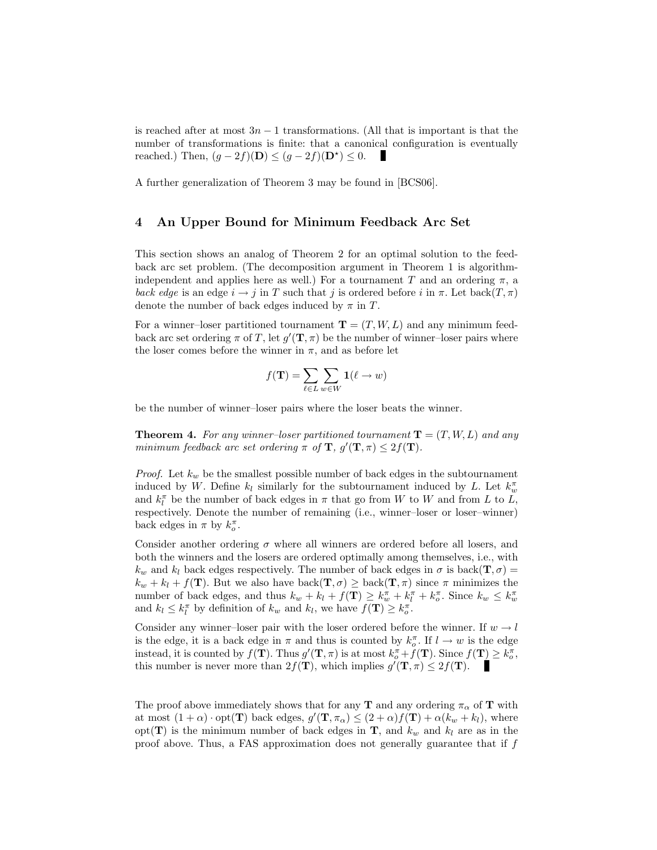is reached after at most  $3n - 1$  transformations. (All that is important is that the number of transformations is finite: that a canonical configuration is eventually reached.) Then,  $(g - 2f)(\mathbf{D}) \leq (g - 2f)(\mathbf{D}^*) \leq 0$ .

A further generalization of Theorem 3 may be found in [BCS06].

#### 4 An Upper Bound for Minimum Feedback Arc Set

This section shows an analog of Theorem 2 for an optimal solution to the feedback arc set problem. (The decomposition argument in Theorem 1 is algorithmindependent and applies here as well.) For a tournament T and an ordering  $\pi$ , a back edge is an edge  $i \to j$  in T such that j is ordered before i in  $\pi$ . Let back $(T, \pi)$ denote the number of back edges induced by  $\pi$  in T.

For a winner–loser partitioned tournament  $\mathbf{T} = (T, W, L)$  and any minimum feedback arc set ordering  $\pi$  of T, let  $g'(\mathbf{T}, \pi)$  be the number of winner-loser pairs where the loser comes before the winner in  $\pi$ , and as before let

$$
f(\mathbf{T}) = \sum_{\ell \in L} \sum_{w \in W} \mathbf{1}(\ell \to w)
$$

be the number of winner–loser pairs where the loser beats the winner.

**Theorem 4.** For any winner-loser partitioned tournament  $T = (T, W, L)$  and any minimum feedback arc set ordering  $\pi$  of  $\mathbf{T}$ ,  $g'(\mathbf{T}, \pi) \leq 2f(\mathbf{T})$ .

*Proof.* Let  $k_w$  be the smallest possible number of back edges in the subtournament induced by W. Define  $k_l$  similarly for the subtournament induced by L. Let  $k_w^{\pi}$ and  $k_l^{\pi}$  be the number of back edges in  $\pi$  that go from W to W and from L to L, respectively. Denote the number of remaining (i.e., winner–loser or loser–winner) back edges in  $\pi$  by  $k_o^{\pi}$ .

Consider another ordering  $\sigma$  where all winners are ordered before all losers, and both the winners and the losers are ordered optimally among themselves, i.e., with  $k_w$  and  $k_l$  back edges respectively. The number of back edges in  $\sigma$  is back( $\mathbf{T}, \sigma$ ) =  $k_w + k_l + f(\mathbf{T})$ . But we also have  $\text{back}(\mathbf{T}, \sigma) \geq \text{back}(\mathbf{T}, \pi)$  since  $\pi$  minimizes the number of back edges, and thus  $k_w + k_l + f(\mathbf{T}) \geq k_w^{\pi} + k_l^{\pi} + k_o^{\pi}$ . Since  $k_w \leq k_w^{\pi}$ and  $k_l \leq k_l^{\pi}$  by definition of  $k_w$  and  $k_l$ , we have  $f(\mathbf{T}) \geq k_o^{\pi}$ .

Consider any winner–loser pair with the loser ordered before the winner. If  $w \to l$ is the edge, it is a back edge in  $\pi$  and thus is counted by  $k_o^{\pi}$ . If  $l \to w$  is the edge instead, it is counted by  $f(\mathbf{T})$ . Thus  $g'(\mathbf{T}, \pi)$  is at most  $k_o^{\pi} + f(\mathbf{T})$ . Since  $f(\mathbf{T}) \geq k_o^{\pi}$ , this number is never more than  $2f(\mathbf{T})$ , which implies  $g'(\mathbf{T}, \pi) \leq 2f(\mathbf{T})$ .

The proof above immediately shows that for any **T** and any ordering  $\pi_{\alpha}$  of **T** with at most  $(1+\alpha) \cdot \text{opt}(\mathbf{T})$  back edges,  $g'(\mathbf{T}, \pi_\alpha) \leq (2+\alpha)f(\mathbf{T}) + \alpha(k_w + k_l)$ , where opt(T) is the minimum number of back edges in T, and  $k_w$  and  $k_l$  are as in the proof above. Thus, a FAS approximation does not generally guarantee that if  $f$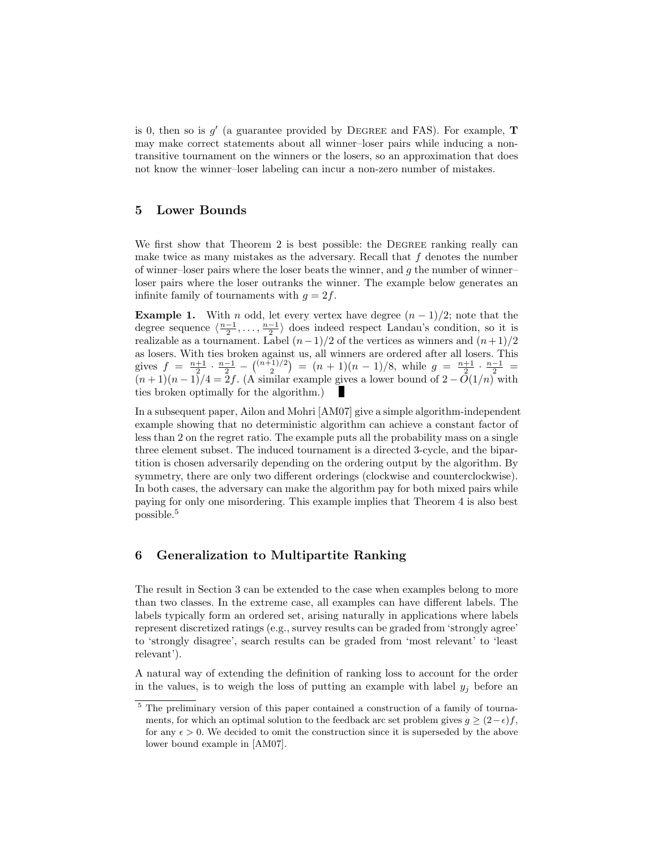is 0, then so is  $g'$  (a guarantee provided by DEGREE and FAS). For example, **T** may make correct statements about all winner–loser pairs while inducing a nontransitive tournament on the winners or the losers, so an approximation that does not know the winner–loser labeling can incur a non-zero number of mistakes.

# 5 Lower Bounds

We first show that Theorem 2 is best possible: the DEGREE ranking really can make twice as many mistakes as the adversary. Recall that  $f$  denotes the number of winner–loser pairs where the loser beats the winner, and  $g$  the number of winner– loser pairs where the loser outranks the winner. The example below generates an infinite family of tournaments with  $g = 2f$ .

**Example 1.** With *n* odd, let every vertex have degree  $(n-1)/2$ ; note that the degree sequence  $\langle \frac{n-1}{2}, \ldots, \frac{n-1}{2} \rangle$  does indeed respect Landau's condition, so it is realizable as a tournament. Label  $(n-1)/2$  of the vertices as winners and  $(n+1)/2$ as losers. With ties broken against us, all winners are ordered after all losers. This gives  $f = \frac{n+1}{2} \cdot \frac{n-1}{2} - \binom{(n+1)/2}{2} = (n+1)(n-1)/8$ , while  $g = \frac{n+1}{2} \cdot \frac{n-1}{2} =$  $(n+1)(n-1)/4 = 2f$ . (A similar example gives a lower bound of  $2 - O(1/n)$  with ties broken optimally for the algorithm.) ш

In a subsequent paper, Ailon and Mohri [AM07] give a simple algorithm-independent example showing that no deterministic algorithm can achieve a constant factor of less than 2 on the regret ratio. The example puts all the probability mass on a single three element subset. The induced tournament is a directed 3-cycle, and the bipartition is chosen adversarily depending on the ordering output by the algorithm. By symmetry, there are only two different orderings (clockwise and counterclockwise). In both cases, the adversary can make the algorithm pay for both mixed pairs while paying for only one misordering. This example implies that Theorem 4 is also best possible.<sup>5</sup>

# 6 Generalization to Multipartite Ranking

The result in Section 3 can be extended to the case when examples belong to more than two classes. In the extreme case, all examples can have different labels. The labels typically form an ordered set, arising naturally in applications where labels represent discretized ratings (e.g., survey results can be graded from 'strongly agree' to 'strongly disagree', search results can be graded from 'most relevant' to 'least relevant').

A natural way of extending the definition of ranking loss to account for the order in the values, is to weigh the loss of putting an example with label  $y_i$  before an

<sup>5</sup> The preliminary version of this paper contained a construction of a family of tournaments, for which an optimal solution to the feedback arc set problem gives  $g \geq (2-\epsilon)f$ , for any  $\epsilon > 0$ . We decided to omit the construction since it is superseded by the above lower bound example in [AM07].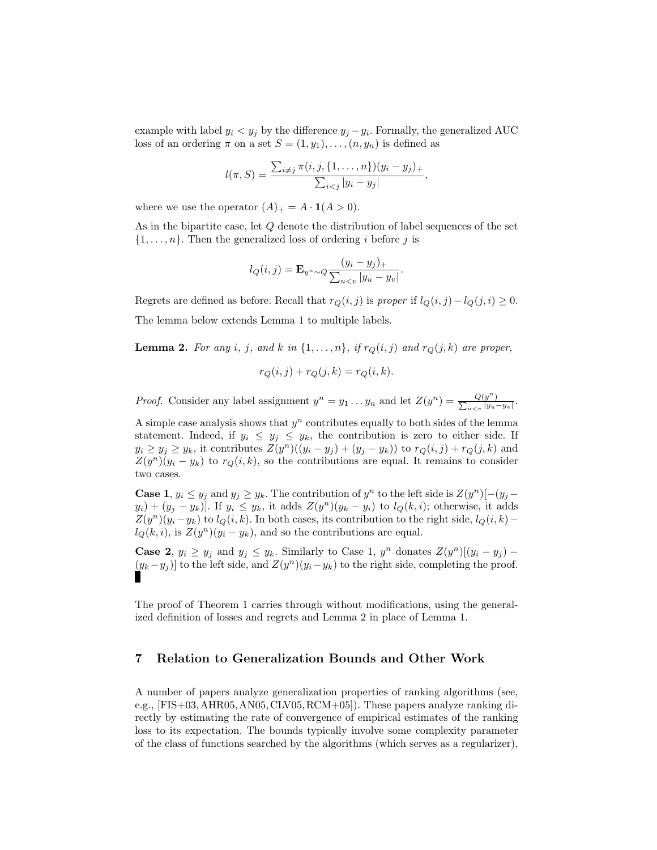example with label  $y_i < y_j$  by the difference  $y_j - y_i$ . Formally, the generalized AUC loss of an ordering  $\pi$  on a set  $S = (1, y_1), \ldots, (n, y_n)$  is defined as

$$
l(\pi, S) = \frac{\sum_{i \neq j} \pi(i, j, \{1, ..., n\})(y_i - y_j)_+}{\sum_{i < j} |y_i - y_j|},
$$

where we use the operator  $(A)_+ = A \cdot \mathbf{1}(A > 0)$ .

As in the bipartite case, let Q denote the distribution of label sequences of the set  $\{1,\ldots,n\}$ . Then the generalized loss of ordering i before j is

$$
l_Q(i,j) = \mathbf{E}_{y^n \sim Q} \frac{(y_i - y_j)_+}{\sum_{u < v} |y_u - y_v|}.
$$

Regrets are defined as before. Recall that  $r_Q(i, j)$  is proper if  $l_Q(i, j) - l_Q(j, i) \geq 0$ . The lemma below extends Lemma 1 to multiple labels.

**Lemma 2.** For any i, j, and k in  $\{1, \ldots, n\}$ , if  $r_Q(i, j)$  and  $r_Q(j, k)$  are proper,

$$
r_Q(i,j) + r_Q(j,k) = r_Q(i,k).
$$

*Proof.* Consider any label assignment  $y^n = y_1 \dots y_n$  and let  $Z(y^n) = \frac{Q(y^n)}{\sum_{y} y_n}$  $\frac{Q(y^n)}{\sum_{u < v} |y_u|}$  $\frac{Q(y^{n})}{u\lt v}|y_u-y_v|$ .

A simple case analysis shows that  $y^n$  contributes equally to both sides of the lemma statement. Indeed, if  $y_i \leq y_j \leq y_k$ , the contribution is zero to either side. If  $y_i \ge y_j \ge y_k$ , it contributes  $Z(y^n)((y_i - y_j) + (y_j - y_k))$  to  $r_Q(i, j) + r_Q(j, k)$  and  $Z(y^n)(y_i - y_k)$  to  $r_Q(i, k)$ , so the contributions are equal. It remains to consider two cases.

**Case 1**,  $y_i \leq y_j$  and  $y_j \geq y_k$ . The contribution of  $y^n$  to the left side is  $Z(y^n)[- (y_j (y_i) + (y_j - y_k)$ . If  $y_i \leq y_k$ , it adds  $Z(y^n)(y_k - y_i)$  to  $l_Q(k, i)$ ; otherwise, it adds  $Z(y^n)(y_i-y_k)$  to  $l_Q(i,k)$ . In both cases, its contribution to the right side,  $l_Q(i,k)$  $l_Q(k, i)$ , is  $Z(y^n)(y_i - y_k)$ , and so the contributions are equal.

**Case 2**,  $y_i \ge y_j$  and  $y_j \le y_k$ . Similarly to Case 1,  $y^n$  donates  $Z(y^n)[(y_i - y_j) (y_k - y_j)$  to the left side, and  $Z(y^n)(y_i - y_k)$  to the right side, completing the proof.

The proof of Theorem 1 carries through without modifications, using the generalized definition of losses and regrets and Lemma 2 in place of Lemma 1.

### 7 Relation to Generalization Bounds and Other Work

A number of papers analyze generalization properties of ranking algorithms (see, e.g., [FIS+03,AHR05,AN05,CLV05,RCM+05]). These papers analyze ranking directly by estimating the rate of convergence of empirical estimates of the ranking loss to its expectation. The bounds typically involve some complexity parameter of the class of functions searched by the algorithms (which serves as a regularizer),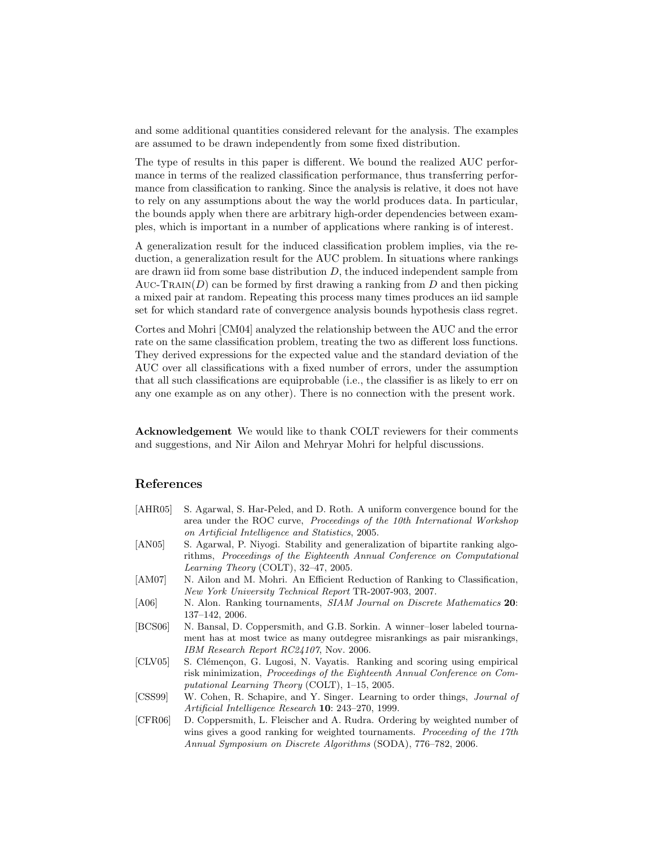and some additional quantities considered relevant for the analysis. The examples are assumed to be drawn independently from some fixed distribution.

The type of results in this paper is different. We bound the realized AUC performance in terms of the realized classification performance, thus transferring performance from classification to ranking. Since the analysis is relative, it does not have to rely on any assumptions about the way the world produces data. In particular, the bounds apply when there are arbitrary high-order dependencies between examples, which is important in a number of applications where ranking is of interest.

A generalization result for the induced classification problem implies, via the reduction, a generalization result for the AUC problem. In situations where rankings are drawn iid from some base distribution  $D$ , the induced independent sample from AUC-TRAIN( $D$ ) can be formed by first drawing a ranking from  $D$  and then picking a mixed pair at random. Repeating this process many times produces an iid sample set for which standard rate of convergence analysis bounds hypothesis class regret.

Cortes and Mohri [CM04] analyzed the relationship between the AUC and the error rate on the same classification problem, treating the two as different loss functions. They derived expressions for the expected value and the standard deviation of the AUC over all classifications with a fixed number of errors, under the assumption that all such classifications are equiprobable (i.e., the classifier is as likely to err on any one example as on any other). There is no connection with the present work.

Acknowledgement We would like to thank COLT reviewers for their comments and suggestions, and Nir Ailon and Mehryar Mohri for helpful discussions.

# References

| [AHR05] | S. Agarwal, S. Har-Peled, and D. Roth. A uniform convergence bound for the        |
|---------|-----------------------------------------------------------------------------------|
|         | area under the ROC curve, <i>Proceedings of the 10th International Workshop</i>   |
|         | on Artificial Intelligence and Statistics, 2005.                                  |
| [ANS05] | S. Agarwal, P. Niyogi. Stability and generalization of bipartite ranking algo-    |
|         | rithms, Proceedings of the Eighteenth Annual Conference on Computational          |
|         | <i>Learning Theory</i> (COLT), $32-47$ , $2005$ .                                 |
| [AM07]  | N. Ailon and M. Mohri. An Efficient Reduction of Ranking to Classification,       |
|         | New York University Technical Report TR-2007-903, 2007.                           |
| [A06]   | N. Alon. Ranking tournaments, <i>SIAM Journal on Discrete Mathematics</i> 20:     |
|         | $137-142$ , 2006.                                                                 |
| [BCS06] | N. Bansal, D. Coppersmith, and G.B. Sorkin. A winner-loser labeled tourna-        |
|         | ment has at most twice as many outdegree misrankings as pair misrankings,         |
|         | IBM Research Report RC24107, Nov. 2006.                                           |
| [CLV05] | S. Clémençon, G. Lugosi, N. Vayatis. Ranking and scoring using empirical          |
|         | risk minimization, <i>Proceedings of the Eighteenth Annual Conference on Com-</i> |
|         | putational Learning Theory (COLT), $1-15$ , 2005.                                 |
| [CSS99] | W. Cohen, R. Schapire, and Y. Singer. Learning to order things, <i>Journal of</i> |
|         | Artificial Intelligence Research 10: 243–270, 1999.                               |
| [CFR06] | D. Coppersmith, L. Fleischer and A. Rudra. Ordering by weighted number of         |
|         | wins gives a good ranking for weighted tournaments. Proceeding of the 17th        |
|         | Annual Symposium on Discrete Algorithms (SODA), 776-782, 2006.                    |